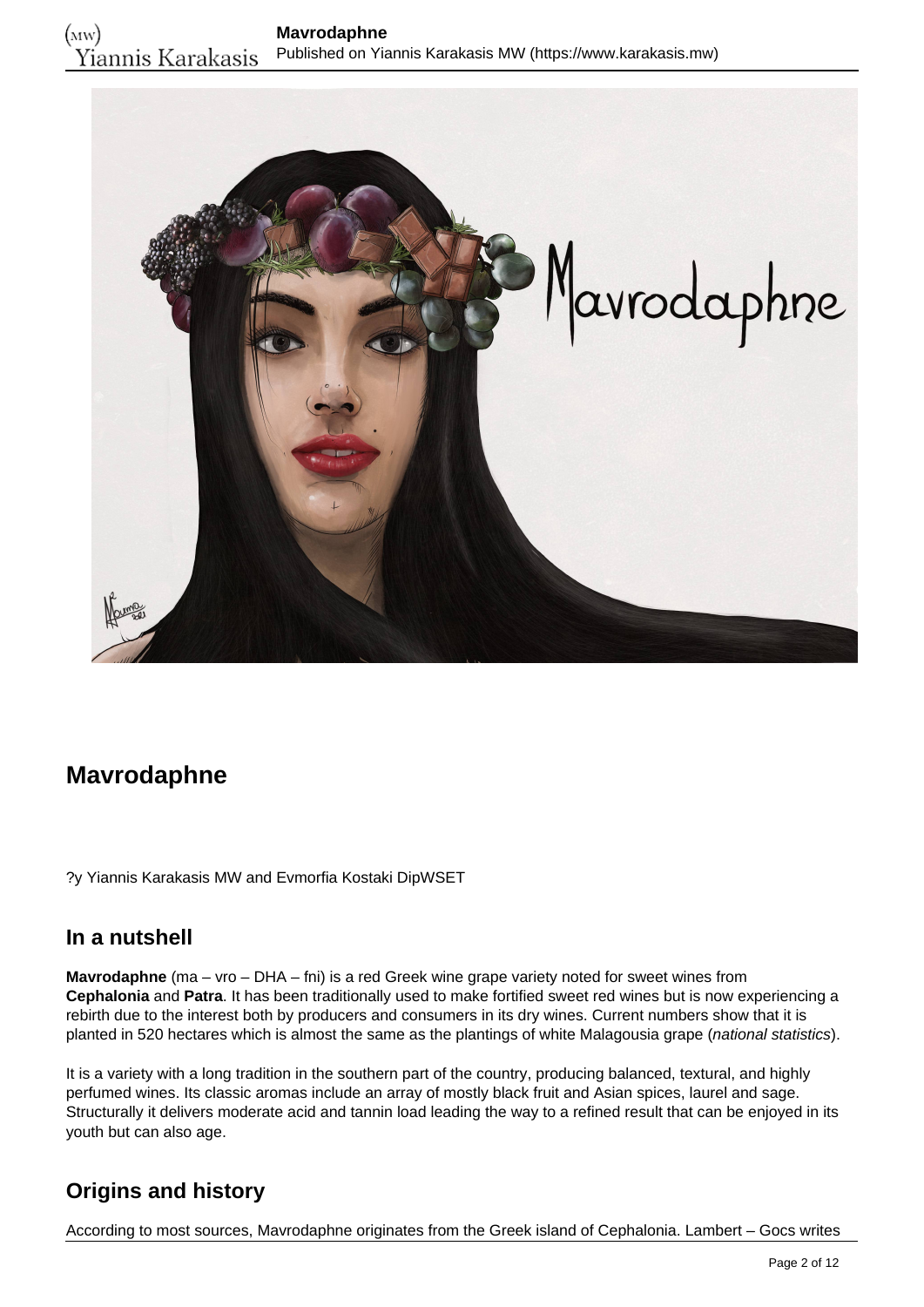

# **Mavrodaphne**

?y Yiannis Karakasis MW and Evmorfia Kostaki DipWSET

### **In a nutshell**

**Mavrodaphne** (ma – vro – DHA – fni) is a red Greek wine grape variety noted for sweet wines from **Cephalonia** and **Patra**. It has been traditionally used to make fortified sweet red wines but is now experiencing a rebirth due to the interest both by producers and consumers in its dry wines. Current numbers show that it is planted in 520 hectares which is almost the same as the plantings of white Malagousia grape (national statistics).

It is a variety with a long tradition in the southern part of the country, producing balanced, textural, and highly perfumed wines. Its classic aromas include an array of mostly black fruit and Asian spices, laurel and sage. Structurally it delivers moderate acid and tannin load leading the way to a refined result that can be enjoyed in its youth but can also age.

## **Origins and history**

According to most sources, Mavrodaphne originates from the Greek island of Cephalonia. Lambert – Gocs writes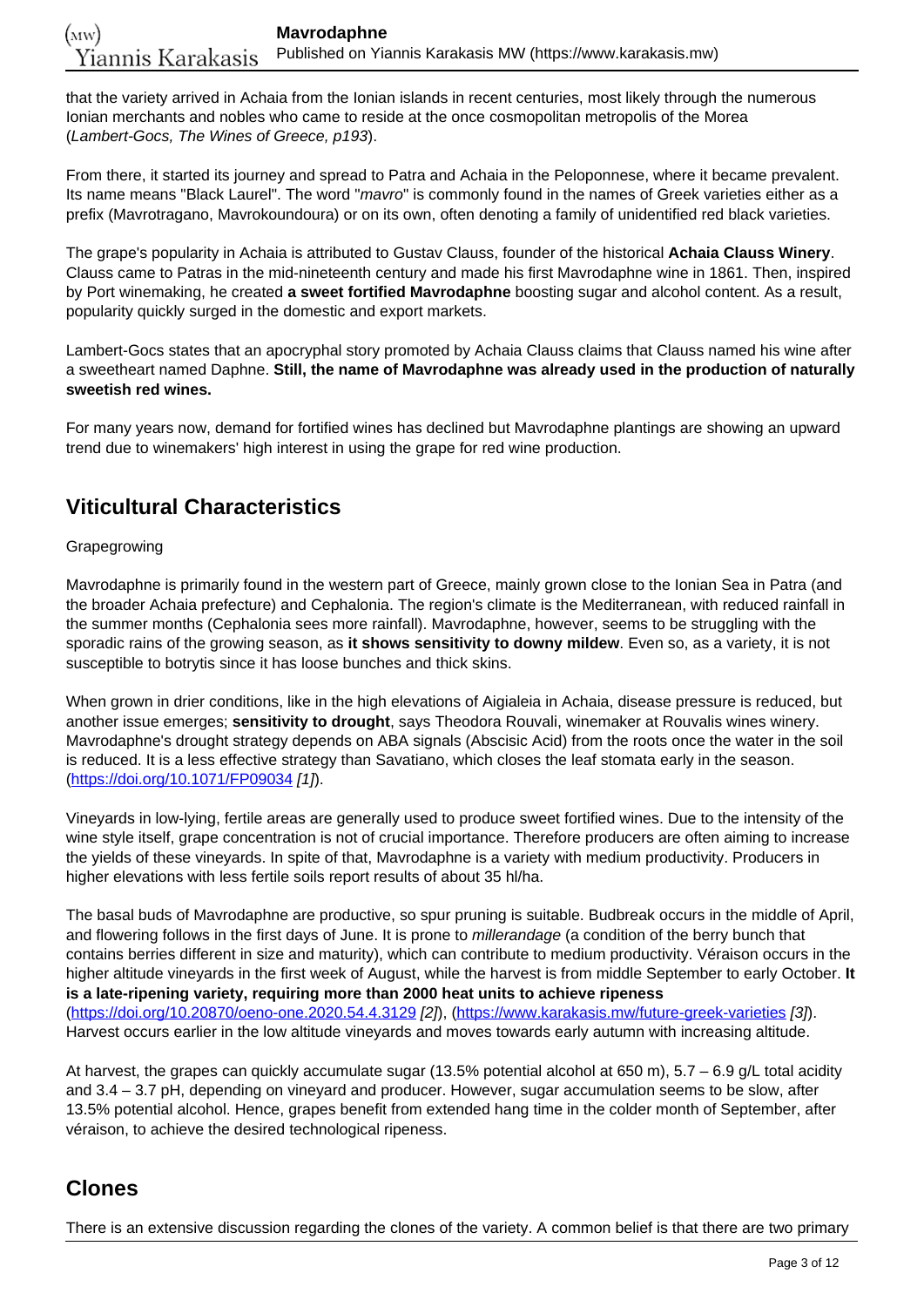that the variety arrived in Achaia from the Ionian islands in recent centuries, most likely through the numerous Ionian merchants and nobles who came to reside at the once cosmopolitan metropolis of the Morea (Lambert-Gocs, The Wines of Greece, p193).

From there, it started its journey and spread to Patra and Achaia in the Peloponnese, where it became prevalent. Its name means "Black Laurel". The word "mavro" is commonly found in the names of Greek varieties either as a prefix (Mavrotragano, Mavrokoundoura) or on its own, often denoting a family of unidentified red black varieties.

The grape's popularity in Achaia is attributed to Gustav Clauss, founder of the historical **Achaia Clauss Winery**. Clauss came to Patras in the mid-nineteenth century and made his first Mavrodaphne wine in 1861. Then, inspired by Port winemaking, he created **a sweet fortified Mavrodaphne** boosting sugar and alcohol content. As a result, popularity quickly surged in the domestic and export markets.

Lambert-Gocs states that an apocryphal story promoted by Achaia Clauss claims that Clauss named his wine after a sweetheart named Daphne. **Still, the name of Mavrodaphne was already used in the production of naturally sweetish red wines.**

For many years now, demand for fortified wines has declined but Mavrodaphne plantings are showing an upward trend due to winemakers' high interest in using the grape for red wine production.

## **Viticultural Characteristics**

### Grapegrowing

Mavrodaphne is primarily found in the western part of Greece, mainly grown close to the Ionian Sea in Patra (and the broader Achaia prefecture) and Cephalonia. The region's climate is the Mediterranean, with reduced rainfall in the summer months (Cephalonia sees more rainfall). Mavrodaphne, however, seems to be struggling with the sporadic rains of the growing season, as **it shows sensitivity to downy mildew**. Even so, as a variety, it is not susceptible to botrytis since it has loose bunches and thick skins.

When grown in drier conditions, like in the high elevations of Aigialeia in Achaia, disease pressure is reduced, but another issue emerges; **sensitivity to drought**, says Theodora Rouvali, winemaker at Rouvalis wines winery. Mavrodaphne's drought strategy depends on ABA signals (Abscisic Acid) from the roots once the water in the soil is reduced. It is a less effective strategy than Savatiano, which closes the leaf stomata early in the season. (<https://doi.org/10.1071/FP09034> [1]).

Vineyards in low-lying, fertile areas are generally used to produce sweet fortified wines. Due to the intensity of the wine style itself, grape concentration is not of crucial importance. Therefore producers are often aiming to increase the yields of these vineyards. In spite of that, Mavrodaphne is a variety with medium productivity. Producers in higher elevations with less fertile soils report results of about 35 hl/ha.

The basal buds of Mavrodaphne are productive, so spur pruning is suitable. Budbreak occurs in the middle of April, and flowering follows in the first days of June. It is prone to millerandage (a condition of the berry bunch that contains berries different in size and maturity), which can contribute to medium productivity. Véraison occurs in the higher altitude vineyards in the first week of August, while the harvest is from middle September to early October. **It is a late-ripening variety, requiring more than 2000 heat units to achieve ripeness** (<https://doi.org/10.20870/oeno-one.2020.54.4.3129> [2]), [\(https://www.karakasis.mw/future-greek-varieties](https://www.karakasis.mw/future-greek-varieties) [3]). Harvest occurs earlier in the low altitude vineyards and moves towards early autumn with increasing altitude.

At harvest, the grapes can quickly accumulate sugar (13.5% potential alcohol at 650 m), 5.7 – 6.9 g/L total acidity and 3.4 – 3.7 pH, depending on vineyard and producer. However, sugar accumulation seems to be slow, after 13.5% potential alcohol. Hence, grapes benefit from extended hang time in the colder month of September, after véraison, to achieve the desired technological ripeness.

## **Clones**

There is an extensive discussion regarding the clones of the variety. A common belief is that there are two primary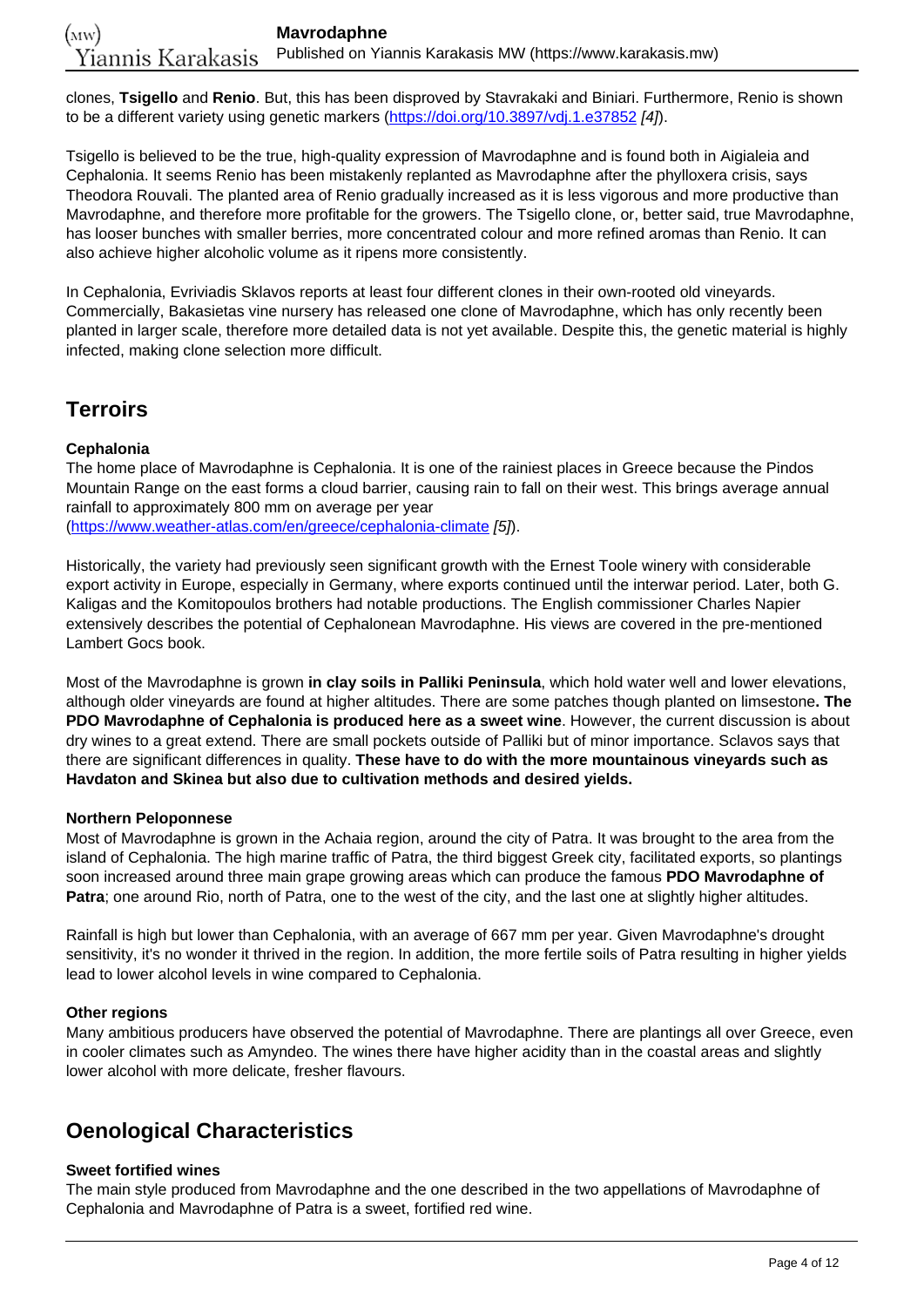clones, **Tsigello** and **Renio**. But, this has been disproved by Stavrakaki and Biniari. Furthermore, Renio is shown to be a different variety using genetic markers (<https://doi.org/10.3897/vdj.1.e37852> [4]).

Tsigello is believed to be the true, high-quality expression of Mavrodaphne and is found both in Aigialeia and Cephalonia. It seems Renio has been mistakenly replanted as Mavrodaphne after the phylloxera crisis, says Theodora Rouvali. The planted area of Renio gradually increased as it is less vigorous and more productive than Mavrodaphne, and therefore more profitable for the growers. The Tsigello clone, or, better said, true Mavrodaphne, has looser bunches with smaller berries, more concentrated colour and more refined aromas than Renio. It can also achieve higher alcoholic volume as it ripens more consistently.

In Cephalonia, Evriviadis Sklavos reports at least four different clones in their own-rooted old vineyards. Commercially, Bakasietas vine nursery has released one clone of Mavrodaphne, which has only recently been planted in larger scale, therefore more detailed data is not yet available. Despite this, the genetic material is highly infected, making clone selection more difficult.

## **Terroirs**

### **Cephalonia**

The home place of Mavrodaphne is Cephalonia. It is one of the rainiest places in Greece because the Pindos Mountain Range on the east forms a cloud barrier, causing rain to fall on their west. This brings average annual rainfall to approximately 800 mm on average per year (<https://www.weather-atlas.com/en/greece/cephalonia-climate> [5]).

Historically, the variety had previously seen significant growth with the Ernest Toole winery with considerable export activity in Europe, especially in Germany, where exports continued until the interwar period. Later, both G. Kaligas and the Komitopoulos brothers had notable productions. The English commissioner Charles Napier extensively describes the potential of Cephalonean Mavrodaphne. His views are covered in the pre-mentioned Lambert Gocs book.

Most of the Mavrodaphne is grown **in clay soils in Palliki Peninsula**, which hold water well and lower elevations, although older vineyards are found at higher altitudes. There are some patches though planted on limsestone**. The PDO Mavrodaphne of Cephalonia is produced here as a sweet wine**. However, the current discussion is about dry wines to a great extend. There are small pockets outside of Palliki but of minor importance. Sclavos says that there are significant differences in quality. **These have to do with the more mountainous vineyards such as Havdaton and Skinea but also due to cultivation methods and desired yields.**

#### **Northern Peloponnese**

Most of Mavrodaphne is grown in the Achaia region, around the city of Patra. It was brought to the area from the island of Cephalonia. The high marine traffic of Patra, the third biggest Greek city, facilitated exports, so plantings soon increased around three main grape growing areas which can produce the famous **PDO Mavrodaphne of Patra**; one around Rio, north of Patra, one to the west of the city, and the last one at slightly higher altitudes.

Rainfall is high but lower than Cephalonia, with an average of 667 mm per year. Given Mavrodaphne's drought sensitivity, it's no wonder it thrived in the region. In addition, the more fertile soils of Patra resulting in higher yields lead to lower alcohol levels in wine compared to Cephalonia.

#### **Other regions**

Many ambitious producers have observed the potential of Mavrodaphne. There are plantings all over Greece, even in cooler climates such as Amyndeo. The wines there have higher acidity than in the coastal areas and slightly lower alcohol with more delicate, fresher flavours.

## **Oenological Characteristics**

### **Sweet fortified wines**

The main style produced from Mavrodaphne and the one described in the two appellations of Mavrodaphne of Cephalonia and Mavrodaphne of Patra is a sweet, fortified red wine.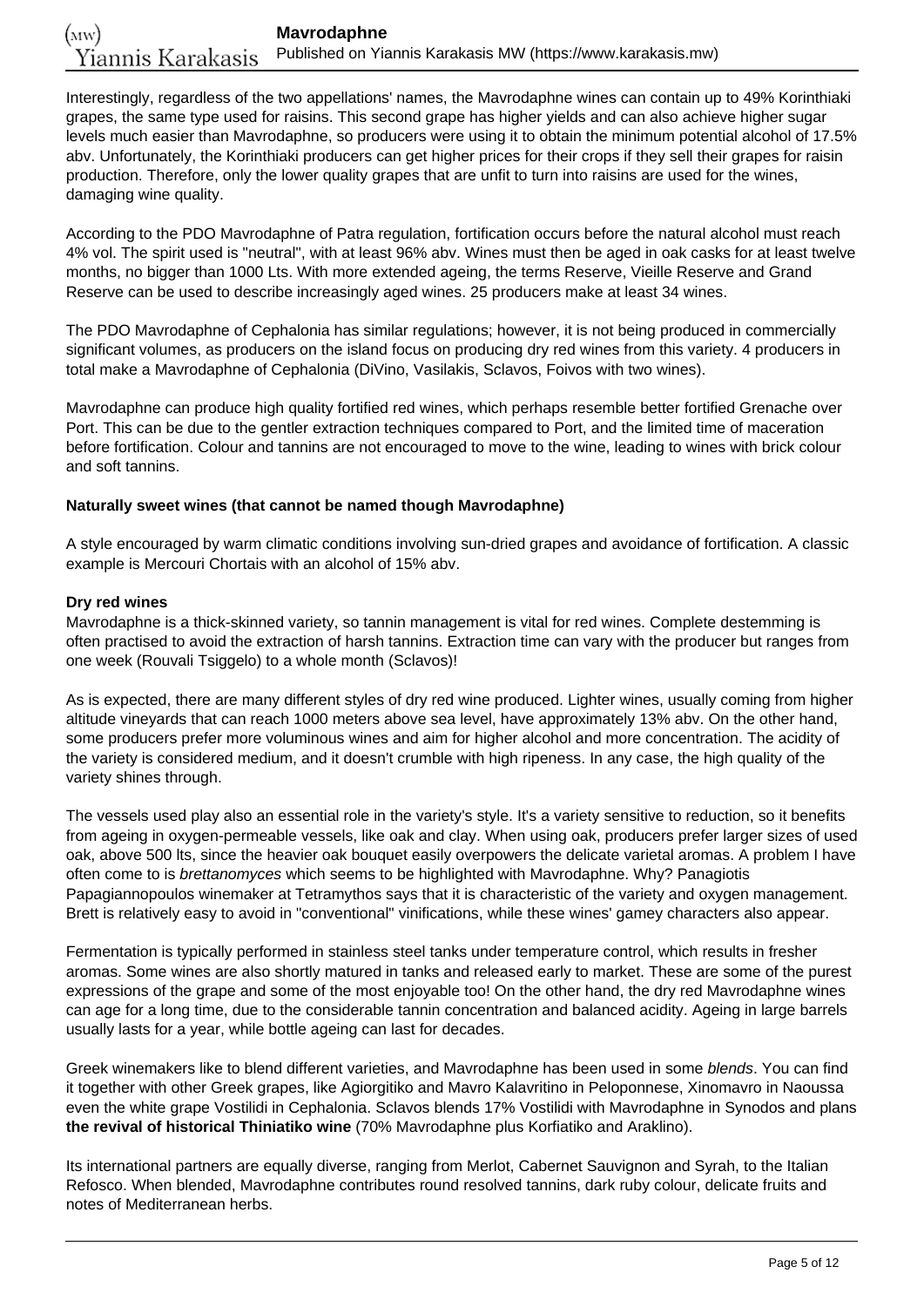Interestingly, regardless of the two appellations' names, the Mavrodaphne wines can contain up to 49% Korinthiaki grapes, the same type used for raisins. This second grape has higher yields and can also achieve higher sugar levels much easier than Mavrodaphne, so producers were using it to obtain the minimum potential alcohol of 17.5% abv. Unfortunately, the Korinthiaki producers can get higher prices for their crops if they sell their grapes for raisin production. Therefore, only the lower quality grapes that are unfit to turn into raisins are used for the wines, damaging wine quality.

According to the PDO Mavrodaphne of Patra regulation, fortification occurs before the natural alcohol must reach 4% vol. The spirit used is "neutral", with at least 96% abv. Wines must then be aged in oak casks for at least twelve months, no bigger than 1000 Lts. With more extended ageing, the terms Reserve, Vieille Reserve and Grand Reserve can be used to describe increasingly aged wines. 25 producers make at least 34 wines.

The PDO Mavrodaphne of Cephalonia has similar regulations; however, it is not being produced in commercially significant volumes, as producers on the island focus on producing dry red wines from this variety. 4 producers in total make a Mavrodaphne of Cephalonia (DiVino, Vasilakis, Sclavos, Foivos with two wines).

Mavrodaphne can produce high quality fortified red wines, which perhaps resemble better fortified Grenache over Port. This can be due to the gentler extraction techniques compared to Port, and the limited time of maceration before fortification. Colour and tannins are not encouraged to move to the wine, leading to wines with brick colour and soft tannins.

#### **Naturally sweet wines (that cannot be named though Mavrodaphne)**

A style encouraged by warm climatic conditions involving sun-dried grapes and avoidance of fortification. A classic example is Mercouri Chortais with an alcohol of 15% abv.

#### **Dry red wines**

Mavrodaphne is a thick-skinned variety, so tannin management is vital for red wines. Complete destemming is often practised to avoid the extraction of harsh tannins. Extraction time can vary with the producer but ranges from one week (Rouvali Tsiggelo) to a whole month (Sclavos)!

As is expected, there are many different styles of dry red wine produced. Lighter wines, usually coming from higher altitude vineyards that can reach 1000 meters above sea level, have approximately 13% abv. On the other hand, some producers prefer more voluminous wines and aim for higher alcohol and more concentration. The acidity of the variety is considered medium, and it doesn't crumble with high ripeness. In any case, the high quality of the variety shines through.

The vessels used play also an essential role in the variety's style. It's a variety sensitive to reduction, so it benefits from ageing in oxygen-permeable vessels, like oak and clay. When using oak, producers prefer larger sizes of used oak, above 500 lts, since the heavier oak bouquet easily overpowers the delicate varietal aromas. A problem I have often come to is brettanomyces which seems to be highlighted with Mavrodaphne. Why? Panagiotis Papagiannopoulos winemaker at Tetramythos says that it is characteristic of the variety and oxygen management. Brett is relatively easy to avoid in "conventional" vinifications, while these wines' gamey characters also appear.

Fermentation is typically performed in stainless steel tanks under temperature control, which results in fresher aromas. Some wines are also shortly matured in tanks and released early to market. These are some of the purest expressions of the grape and some of the most enjoyable too! On the other hand, the dry red Mavrodaphne wines can age for a long time, due to the considerable tannin concentration and balanced acidity. Ageing in large barrels usually lasts for a year, while bottle ageing can last for decades.

Greek winemakers like to blend different varieties, and Mavrodaphne has been used in some blends. You can find it together with other Greek grapes, like Agiorgitiko and Mavro Kalavritino in Peloponnese, Xinomavro in Naoussa even the white grape Vostilidi in Cephalonia. Sclavos blends 17% Vostilidi with Mavrodaphne in Synodos and plans **the revival of historical Thiniatiko wine** (70% Mavrodaphne plus Korfiatiko and Araklino).

Its international partners are equally diverse, ranging from Merlot, Cabernet Sauvignon and Syrah, to the Italian Refosco. When blended, Mavrodaphne contributes round resolved tannins, dark ruby colour, delicate fruits and notes of Mediterranean herbs.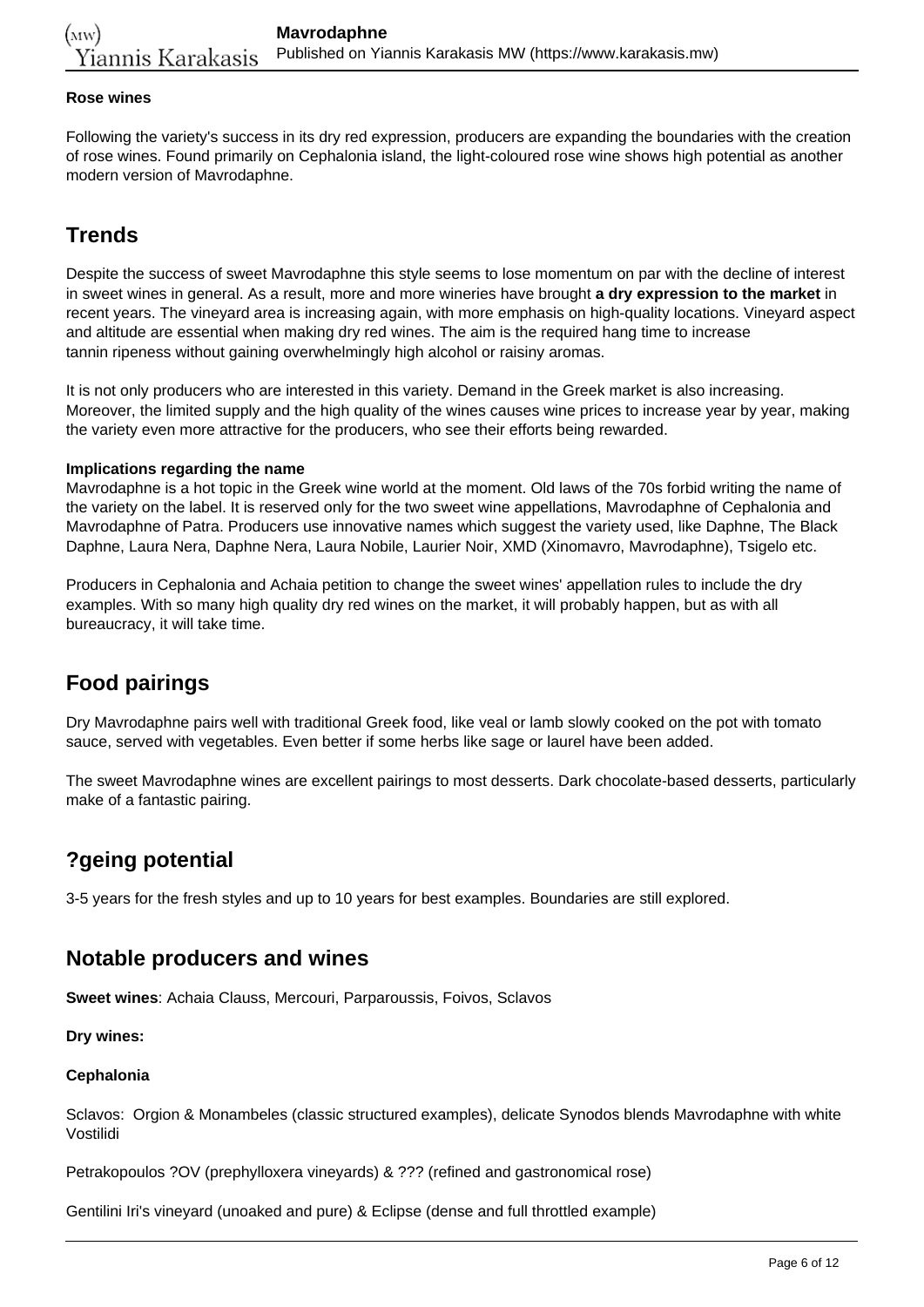#### **Rose wines**

Following the variety's success in its dry red expression, producers are expanding the boundaries with the creation of rose wines. Found primarily on Cephalonia island, the light-coloured rose wine shows high potential as another modern version of Mavrodaphne.

## **Trends**

Despite the success of sweet Mavrodaphne this style seems to lose momentum on par with the decline of interest in sweet wines in general. As a result, more and more wineries have brought **a dry expression to the market** in recent years. The vineyard area is increasing again, with more emphasis on high-quality locations. Vineyard aspect and altitude are essential when making dry red wines. The aim is the required hang time to increase tannin ripeness without gaining overwhelmingly high alcohol or raisiny aromas.

It is not only producers who are interested in this variety. Demand in the Greek market is also increasing. Moreover, the limited supply and the high quality of the wines causes wine prices to increase year by year, making the variety even more attractive for the producers, who see their efforts being rewarded.

#### **Implications regarding the name**

Mavrodaphne is a hot topic in the Greek wine world at the moment. Old laws of the 70s forbid writing the name of the variety on the label. It is reserved only for the two sweet wine appellations, Mavrodaphne of Cephalonia and Mavrodaphne of Patra. Producers use innovative names which suggest the variety used, like Daphne, The Black Daphne, Laura Nera, Daphne Nera, Laura Nobile, Laurier Noir, XMD (Xinomavro, Mavrodaphne), Tsigelo etc.

Producers in Cephalonia and Achaia petition to change the sweet wines' appellation rules to include the dry examples. With so many high quality dry red wines on the market, it will probably happen, but as with all bureaucracy, it will take time.

## **Food pairings**

Dry Mavrodaphne pairs well with traditional Greek food, like veal or lamb slowly cooked on the pot with tomato sauce, served with vegetables. Even better if some herbs like sage or laurel have been added.

The sweet Mavrodaphne wines are excellent pairings to most desserts. Dark chocolate-based desserts, particularly make of a fantastic pairing.

### **?geing potential**

3-5 years for the fresh styles and up to 10 years for best examples. Boundaries are still explored.

### **Notable producers and wines**

**Sweet wines**: Achaia Clauss, Mercouri, Parparoussis, Foivos, Sclavos

**Dry wines:**

#### **Cephalonia**

Sclavos: Orgion & Monambeles (classic structured examples), delicate Synodos blends Mavrodaphne with white Vostilidi

Petrakopoulos ?OV (prephylloxera vineyards) & ??? (refined and gastronomical rose)

Gentilini Iri's vineyard (unoaked and pure) & Eclipse (dense and full throttled example)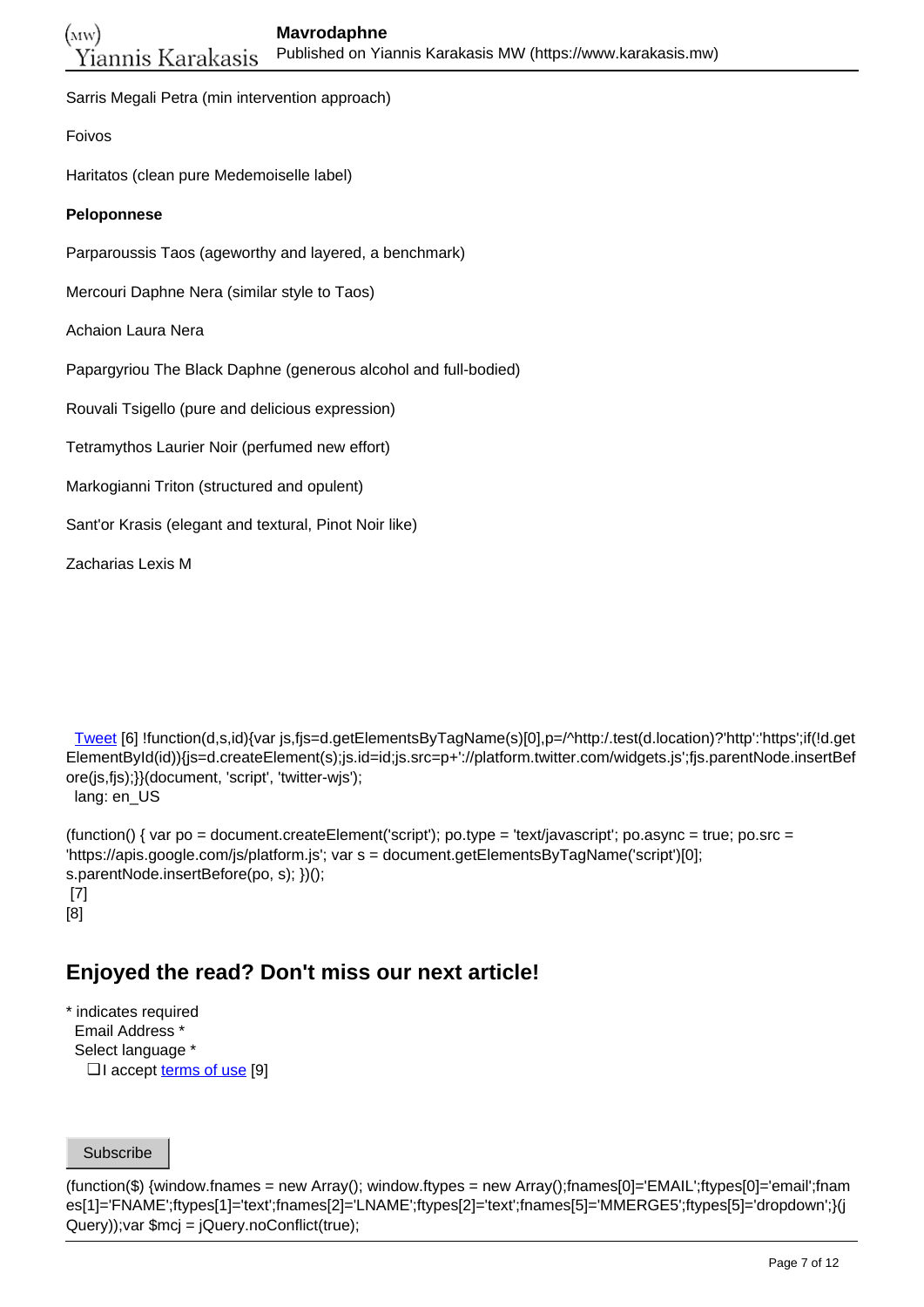Sarris Megali Petra (min intervention approach)

Foivos

Haritatos (clean pure Medemoiselle label)

#### **Peloponnese**

Parparoussis Taos (ageworthy and layered, a benchmark)

Mercouri Daphne Nera (similar style to Taos)

Achaion Laura Nera

Papargyriou The Black Daphne (generous alcohol and full-bodied)

Rouvali Tsigello (pure and delicious expression)

Tetramythos Laurier Noir (perfumed new effort)

- Markogianni Triton (structured and opulent)
- Sant'or Krasis (elegant and textural, Pinot Noir like)

Zacharias Lexis M

 [Tweet](https://twitter.com/share) [6] !function(d,s,id){var js,fjs=d.getElementsByTagName(s)[0],p=/^http:/.test(d.location)?'http':'https';if(!d.get ElementById(id)){js=d.createElement(s);js.id=id;js.src=p+'://platform.twitter.com/widgets.js';fjs.parentNode.insertBef ore(js,fjs);}}(document, 'script', 'twitter-wjs');

lang: en\_US

(function() { var po = document.createElement('script'); po.type = 'text/javascript'; po.async = true; po.src = 'https://apis.google.com/js/platform.js'; var s = document.getElementsByTagName('script')[0]; s.parentNode.insertBefore(po, s); })(); [7] [8]

## **Enjoyed the read? Don't miss our next article!**

\* indicates required Email Address \* Select language \* □ I accept <u>[terms of use](https://www.karakasis.mw/policy)</u> [9]

Subscribe

(function(\$) {window.fnames = new Array(); window.ftypes = new Array();fnames[0]='EMAIL';ftypes[0]='email';fnam es[1]='FNAME';ftypes[1]='text';fnames[2]='LNAME';ftypes[2]='text';fnames[5]='MMERGE5';ftypes[5]='dropdown';}(j Query));var \$mcj = jQuery.noConflict(true);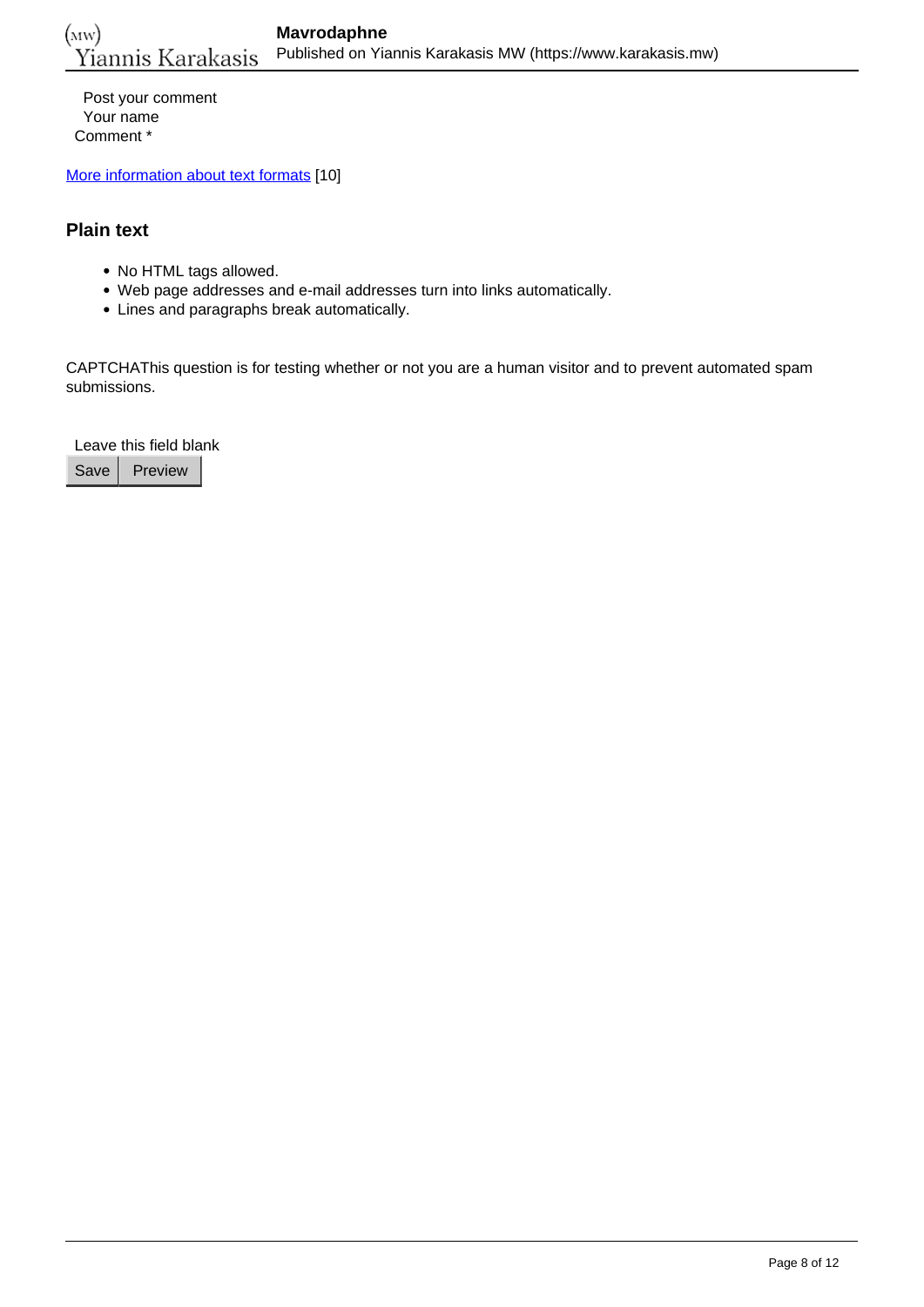Post your comment Your name Comment \*

[More information about text formats](https://www.karakasis.mw/filter/tips) [10]

### **Plain text**

- No HTML tags allowed.
- Web page addresses and e-mail addresses turn into links automatically.
- Lines and paragraphs break automatically.

CAPTCHAThis question is for testing whether or not you are a human visitor and to prevent automated spam submissions.

Leave this field blank

Save Preview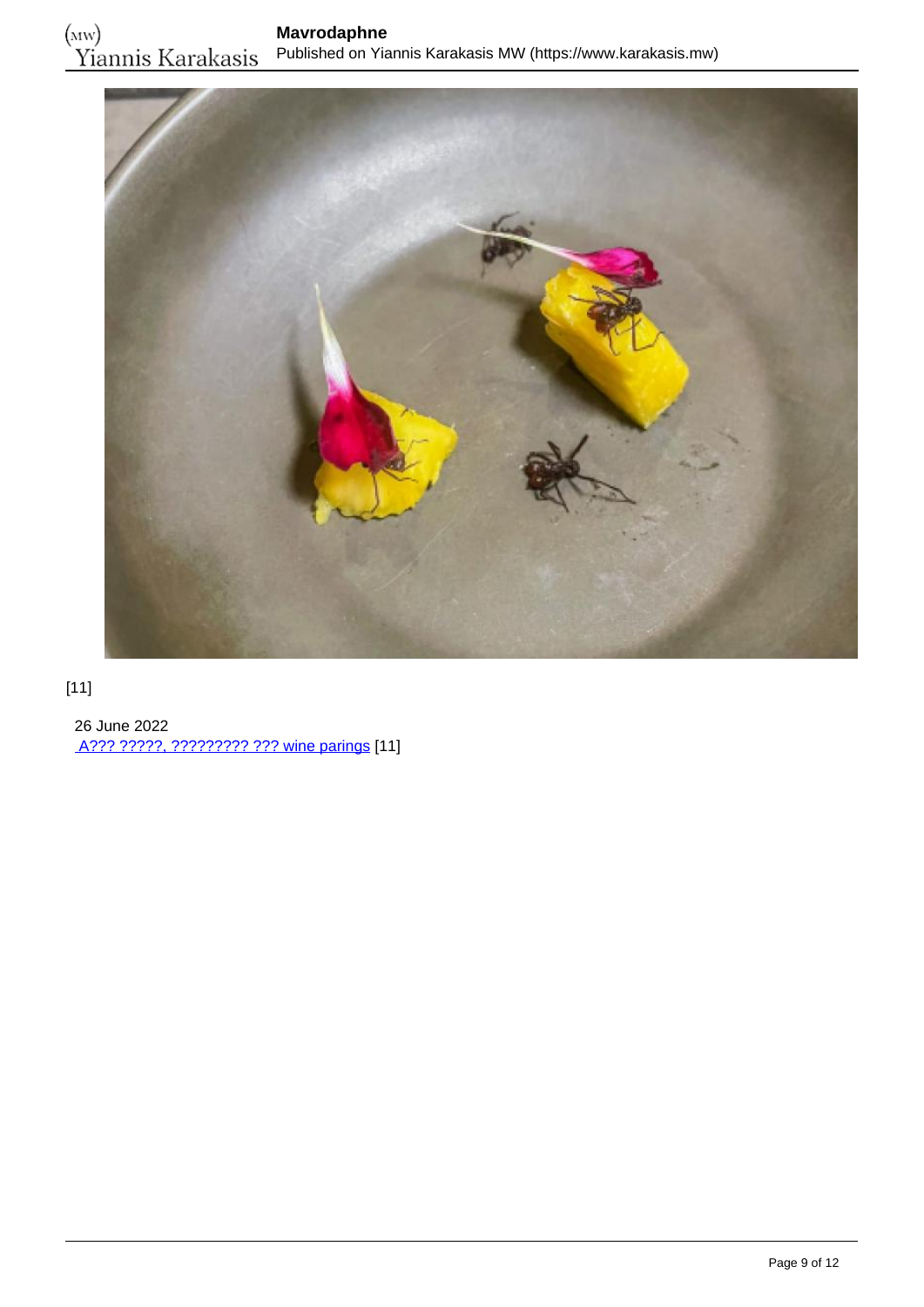

### [11]

 26 June 2022 [A??? ?????, ????????? ??? wine parings](https://www.karakasis.mw/alex-atala-myrmigkia-kai-wine-parings) [11]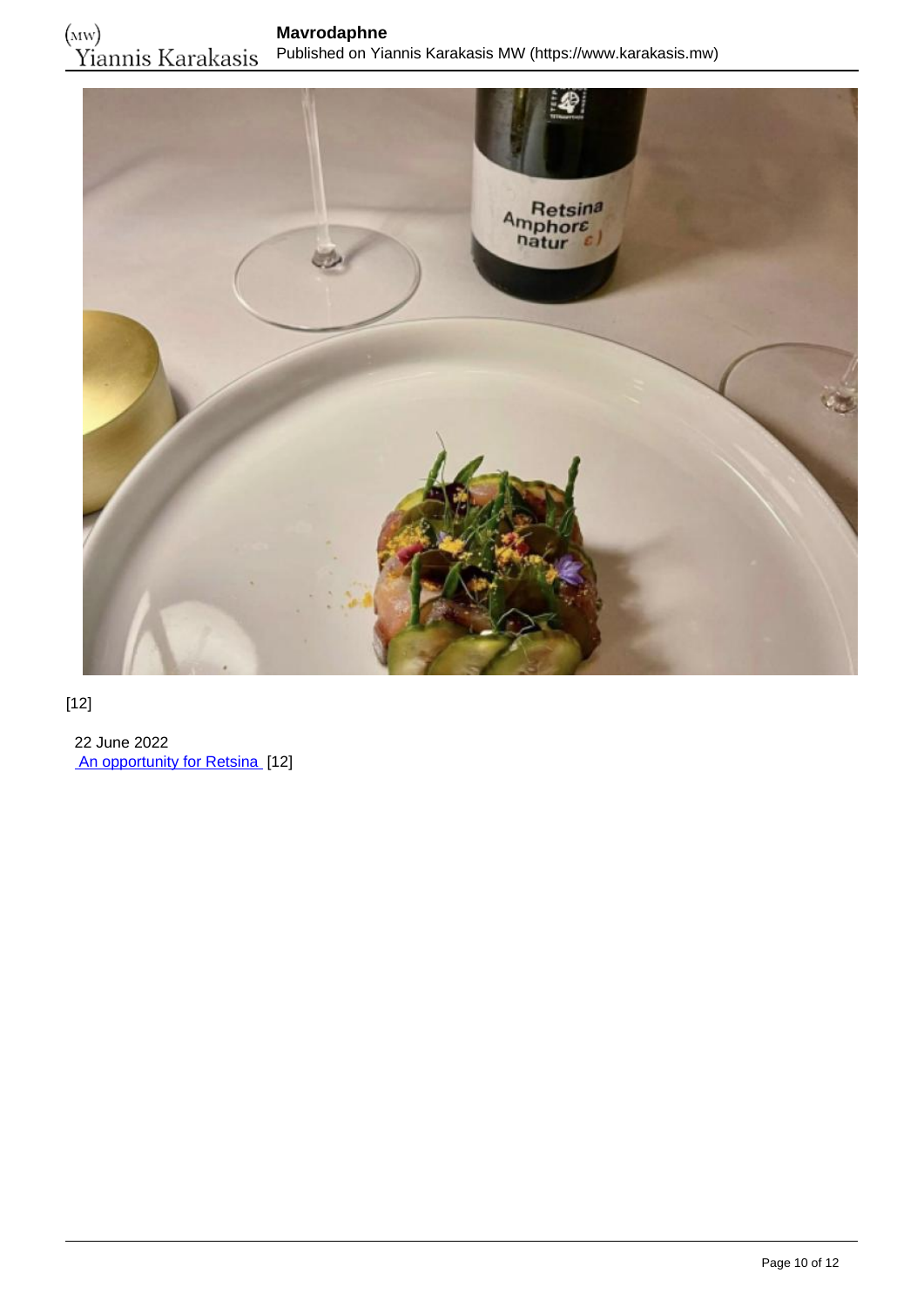

### [12]

 22 June 2022 [An opportunity for Retsina](https://www.karakasis.mw/opportunity-resinated-wine) [12]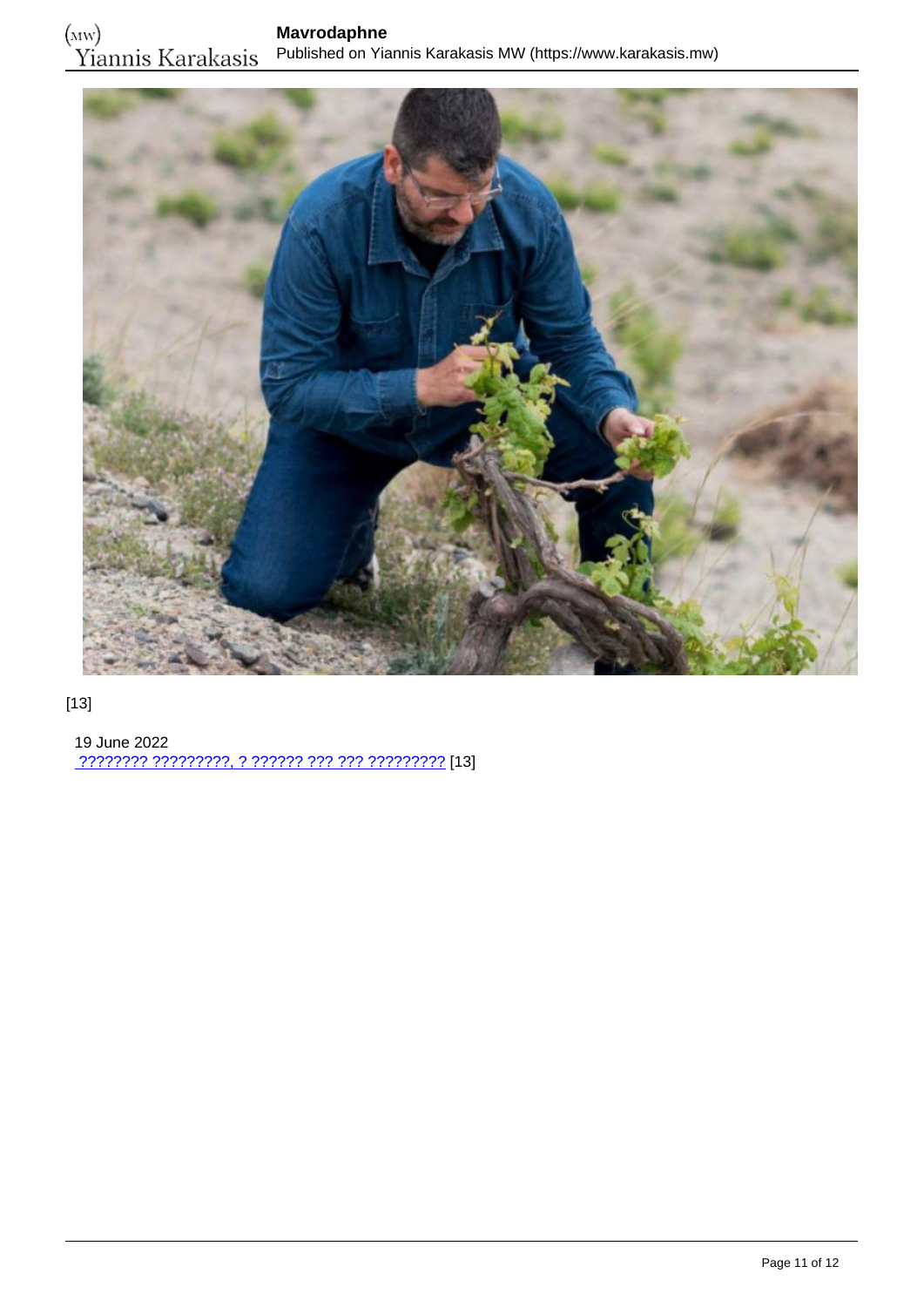

### [13]

 19 June 2022 [???????? ?????????, ? ?????? ??? ??? ?????????](https://www.karakasis.mw/anydroys) [13]